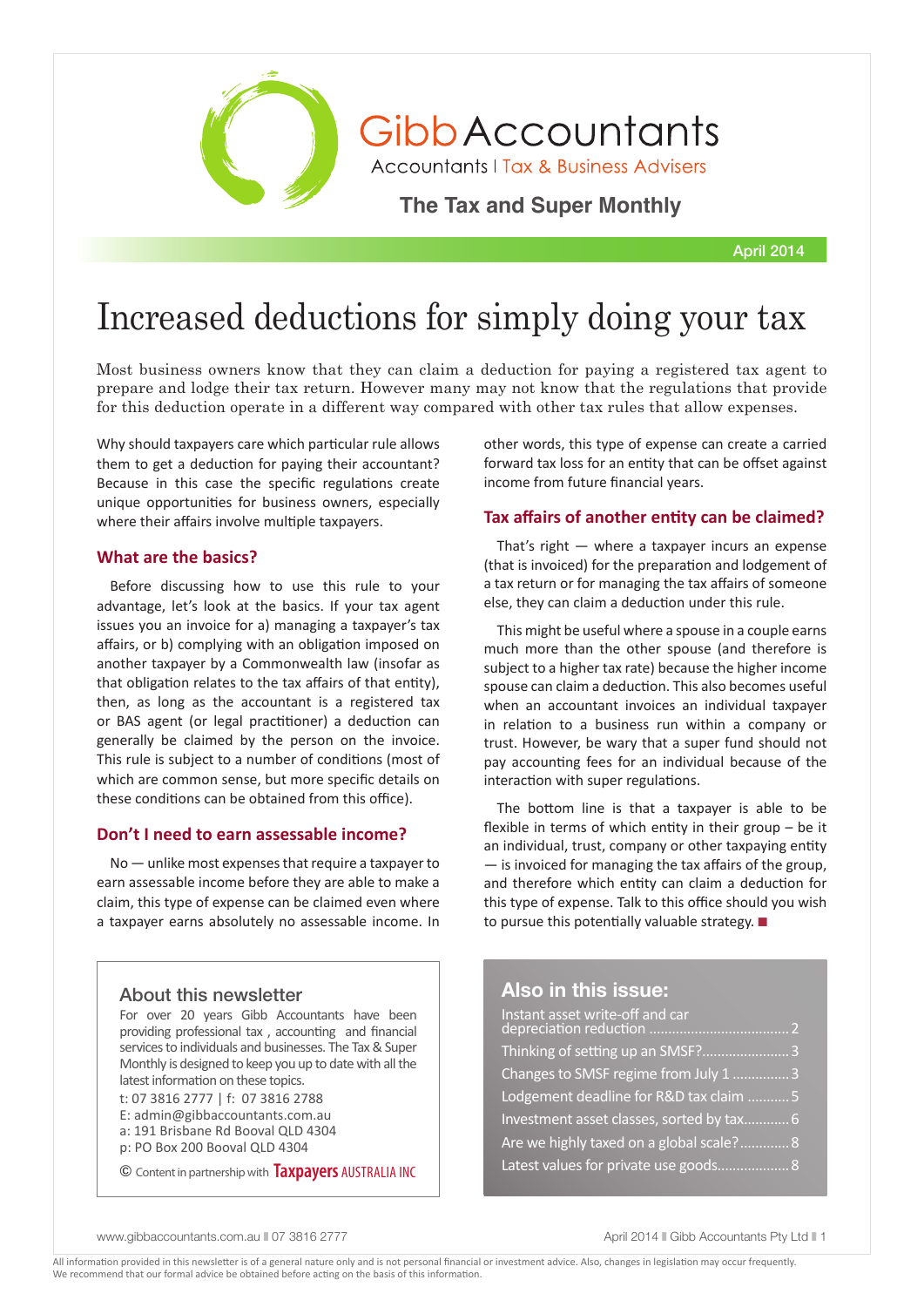

GibbAccountants

**Accountants | Tax & Business Advisers** 

**The Tax and Super Monthly** 

April 2014

# Increased deductions for simply doing your tax

Most business owners know that they can claim a deduction for paying a registered tax agent to prepare and lodge their tax return. However many may not know that the regulations that provide for this deduction operate in a different way compared with other tax rules that allow expenses.

Why should taxpayers care which particular rule allows them to get a deduction for paying their accountant? Because in this case the specific regulations create unique opportunities for business owners, especially where their affairs involve multiple taxpayers.

### **What are the basics?**

Before discussing how to use this rule to your advantage, let's look at the basics. If your tax agent issues you an invoice for a) managing a taxpayer's tax affairs, or b) complying with an obligation imposed on another taxpayer by a Commonwealth law (insofar as that obligation relates to the tax affairs of that entity), then, as long as the accountant is a registered tax or BAS agent (or legal practitioner) a deduction can generally be claimed by the person on the invoice. This rule is subject to a number of conditions (most of which are common sense, but more specific details on these conditions can be obtained from this office).

### **Don't I need to earn assessable income?**

No — unlike most expenses that require a taxpayer to earn assessable income before they are able to make a claim, this type of expense can be claimed even where a taxpayer earns absolutely no assessable income. In

### About this newsletter

For over 20 years Gibb Accountants have been providing professional tax , accounting and financial services to individuals and businesses. The Tax & Super Monthly is designed to keep you up to date with all the latest information on these topics.

t: 07 3816 2777 | f: 07 3816 2788 E: admin@gibbaccountants.com.au

a: 191 Brisbane Rd Booval QLD 4304 p: PO Box 200 Booval QLD 4304

© Content in partnership with **Taxpayers** AUSTRALIA INC

other words, this type of expense can create a carried forward tax loss for an entity that can be offset against income from future financial years.

### **Tax affairs of another entity can be claimed?**

That's right — where a taxpayer incurs an expense (that is invoiced) for the preparation and lodgement of a tax return or for managing the tax affairs of someone else, they can claim a deduction under this rule.

This might be useful where a spouse in a couple earns much more than the other spouse (and therefore is subject to a higher tax rate) because the higher income spouse can claim a deduction. This also becomes useful when an accountant invoices an individual taxpayer in relation to a business run within a company or trust. However, be wary that a super fund should not pay accounting fees for an individual because of the interaction with super regulations.

The bottom line is that a taxpayer is able to be flexible in terms of which entity in their group – be it an individual, trust, company or other taxpaying entity — is invoiced for managing the tax affairs of the group, and therefore which entity can claim a deduction for this type of expense. Talk to this office should you wish to pursue this potentially valuable strategy.  $\blacksquare$ 

### **Also in this issue:**

| Thinking of setting up an SMSF? 3         |  |
|-------------------------------------------|--|
| Changes to SMSF regime from July 1 3      |  |
| Lodgement deadline for R&D tax claim 5    |  |
| Investment asset classes, sorted by tax 6 |  |
| Are we highly taxed on a global scale? 8  |  |
| Latest values for private use goods 8     |  |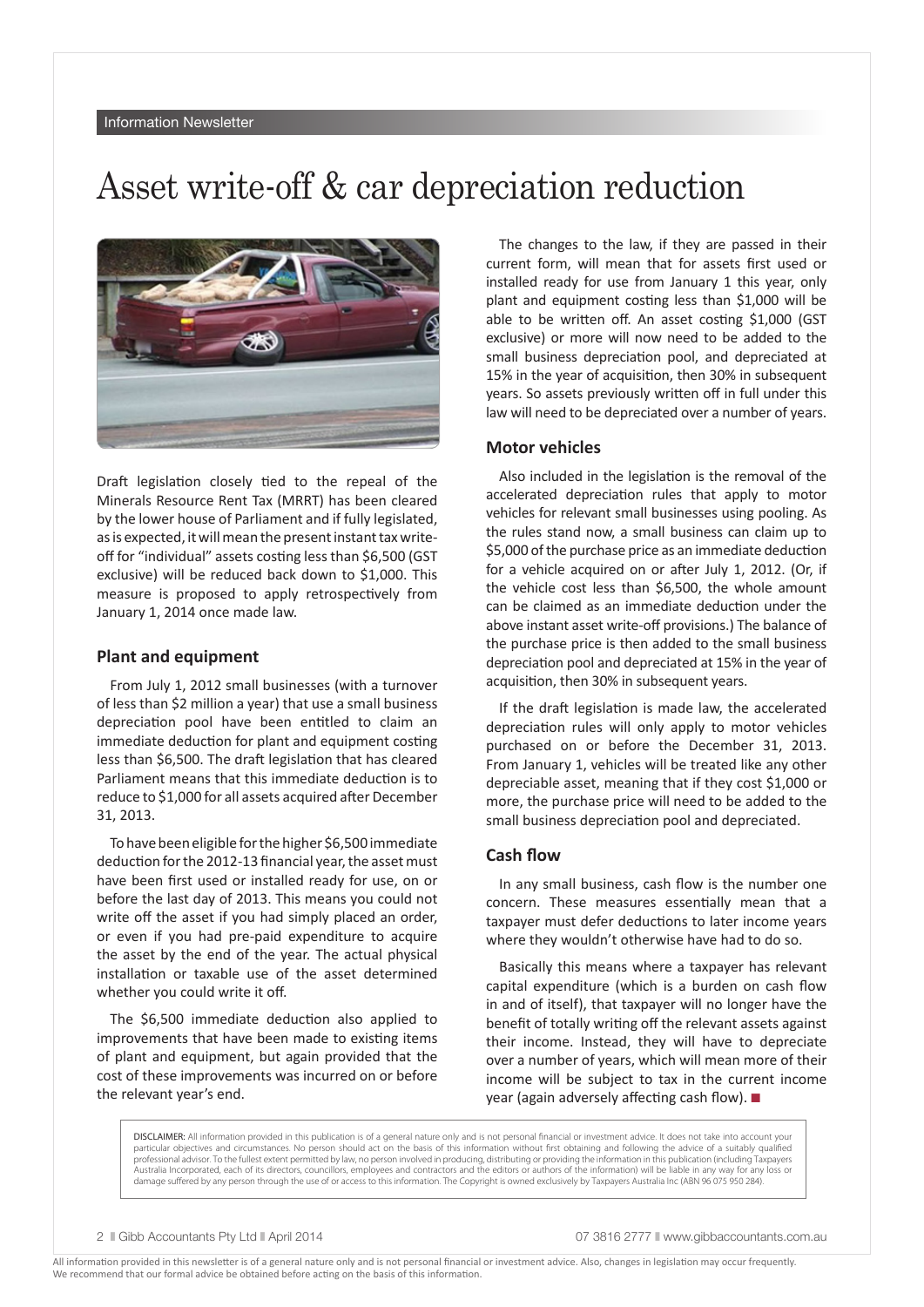### Asset write-off & car depreciation reduction



Draft legislation closely tied to the repeal of the Minerals Resource Rent Tax (MRRT) has been cleared by the lower house of Parliament and if fully legislated, as is expected, it will mean the present instant tax writeoff for "individual" assets costing less than \$6,500 (GST exclusive) will be reduced back down to \$1,000. This measure is proposed to apply retrospectively from January 1, 2014 once made law.

### **Plant and equipment**

From July 1, 2012 small businesses (with a turnover of less than \$2 million a year) that use a small business depreciation pool have been entitled to claim an immediate deduction for plant and equipment costing less than \$6,500. The draft legislation that has cleared Parliament means that this immediate deduction is to reduce to \$1,000 for all assets acquired after December 31, 2013.

To have been eligible for the higher \$6,500 immediate deduction for the 2012-13 financial year, the asset must have been first used or installed ready for use, on or before the last day of 2013. This means you could not write off the asset if you had simply placed an order, or even if you had pre-paid expenditure to acquire the asset by the end of the year. The actual physical installation or taxable use of the asset determined whether you could write it off.

The \$6,500 immediate deduction also applied to improvements that have been made to existing items of plant and equipment, but again provided that the cost of these improvements was incurred on or before the relevant year's end.

The changes to the law, if they are passed in their current form, will mean that for assets first used or installed ready for use from January 1 this year, only plant and equipment costing less than \$1,000 will be able to be written off. An asset costing \$1,000 (GST exclusive) or more will now need to be added to the small business depreciation pool, and depreciated at 15% in the year of acquisition, then 30% in subsequent years. So assets previously written off in full under this law will need to be depreciated over a number of years.

### **Motor vehicles**

Also included in the legislation is the removal of the accelerated depreciation rules that apply to motor vehicles for relevant small businesses using pooling. As the rules stand now, a small business can claim up to \$5,000 of the purchase price as an immediate deduction for a vehicle acquired on or after July 1, 2012. (Or, if the vehicle cost less than \$6,500, the whole amount can be claimed as an immediate deduction under the above instant asset write-off provisions.) The balance of the purchase price is then added to the small business depreciation pool and depreciated at 15% in the year of acquisition, then 30% in subsequent years.

If the draft legislation is made law, the accelerated depreciation rules will only apply to motor vehicles purchased on or before the December 31, 2013. From January 1, vehicles will be treated like any other depreciable asset, meaning that if they cost \$1,000 or more, the purchase price will need to be added to the small business depreciation pool and depreciated.

### **Cash flow**

In any small business, cash flow is the number one concern. These measures essentially mean that a taxpayer must defer deductions to later income years where they wouldn't otherwise have had to do so.

Basically this means where a taxpayer has relevant capital expenditure (which is a burden on cash flow in and of itself), that taxpayer will no longer have the benefit of totally writing off the relevant assets against their income. Instead, they will have to depreciate over a number of years, which will mean more of their income will be subject to tax in the current income year (again adversely affecting cash flow).  $\blacksquare$ 

DISCLAIMER: All information provided in this publication is of a general nature only and is not personal financial or investment advice. It does not take into account your particular objectives and circumstances. No person should act on the basis of this information without first obtaining and following the advice of a suitably qualified professional advisor. To the fullest extent permitted by law, no person involved in producing, distributing or providing the information in this publication (including Taxpayers Australia Incorporated, each of its directors, councillors, employees and contractors and the editors or authors of the information) will be liable in any way for any loss or damage suffered by any person through the use of or access to this information. The Copyright is owned exclusively by Taxpayers Australia Inc (ABN 96 075 950 284).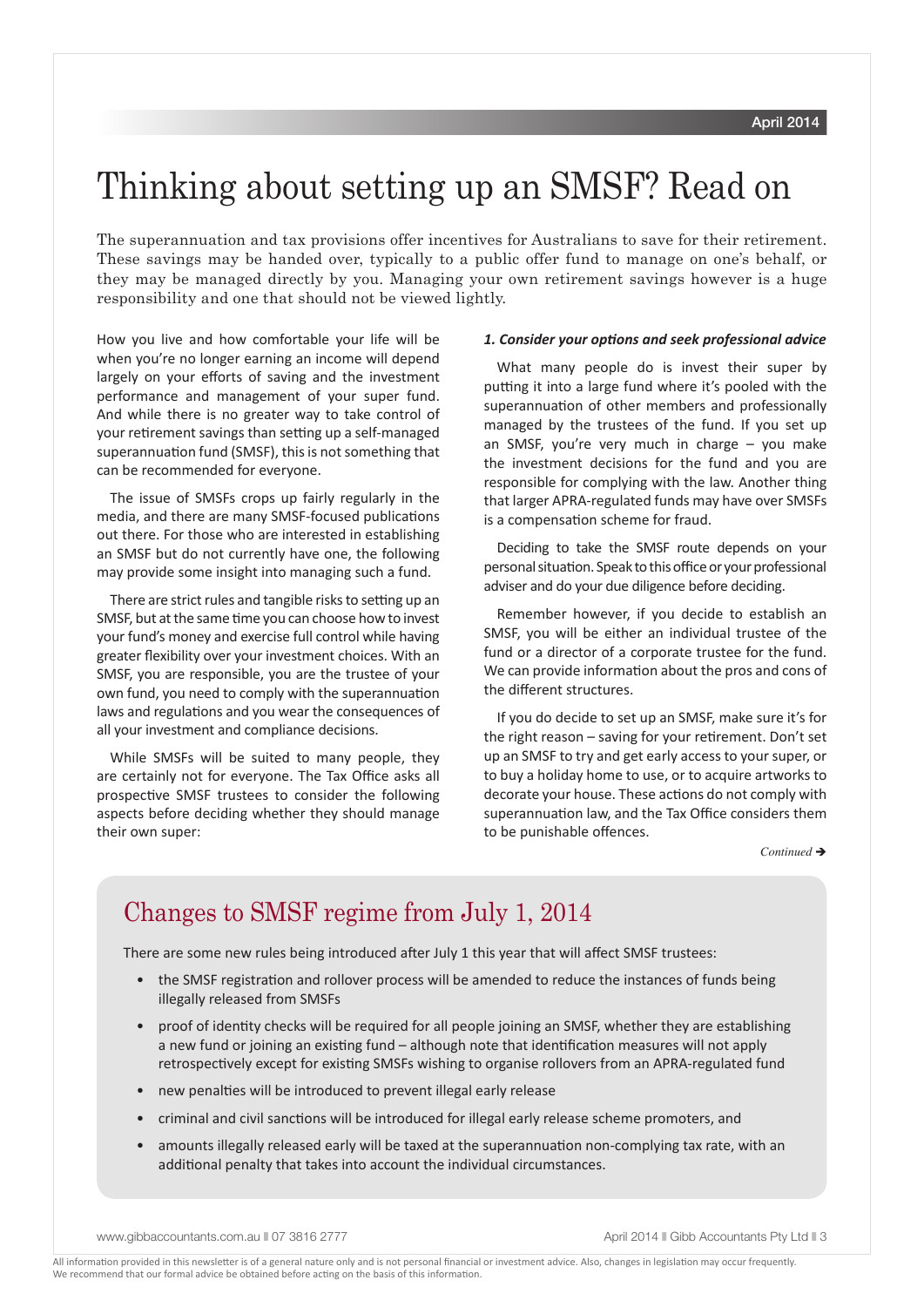## Thinking about setting up an SMSF? Read on

The superannuation and tax provisions offer incentives for Australians to save for their retirement. These savings may be handed over, typically to a public offer fund to manage on one's behalf, or they may be managed directly by you. Managing your own retirement savings however is a huge responsibility and one that should not be viewed lightly.

How you live and how comfortable your life will be when you're no longer earning an income will depend largely on your efforts of saving and the investment performance and management of your super fund. And while there is no greater way to take control of your retirement savings than setting up a self-managed superannuation fund (SMSF), this is not something that can be recommended for everyone.

The issue of SMSFs crops up fairly regularly in the media, and there are many SMSF-focused publications out there. For those who are interested in establishing an SMSF but do not currently have one, the following may provide some insight into managing such a fund.

There are strict rules and tangible risks to setting up an SMSF, but at the same time you can choose how to invest your fund's money and exercise full control while having greater flexibility over your investment choices. With an SMSF, you are responsible, you are the trustee of your own fund, you need to comply with the superannuation laws and regulations and you wear the consequences of all your investment and compliance decisions.

While SMSFs will be suited to many people, they are certainly not for everyone. The Tax Office asks all prospective SMSF trustees to consider the following aspects before deciding whether they should manage their own super:

### *1. Consider your options and seek professional advice*

What many people do is invest their super by putting it into a large fund where it's pooled with the superannuation of other members and professionally managed by the trustees of the fund. If you set up an SMSF, you're very much in charge – you make the investment decisions for the fund and you are responsible for complying with the law. Another thing that larger APRA-regulated funds may have over SMSFs is a compensation scheme for fraud.

Deciding to take the SMSF route depends on your personal situation. Speak to this office or your professional adviser and do your due diligence before deciding.

Remember however, if you decide to establish an SMSF, you will be either an individual trustee of the fund or a director of a corporate trustee for the fund. We can provide information about the pros and cons of the different structures.

If you do decide to set up an SMSF, make sure it's for the right reason – saving for your retirement. Don't set up an SMSF to try and get early access to your super, or to buy a holiday home to use, or to acquire artworks to decorate your house. These actions do not comply with superannuation law, and the Tax Office considers them to be punishable offences.

 $Continued \rightarrow$ 

### Changes to SMSF regime from July 1, 2014

There are some new rules being introduced after July 1 this year that will affect SMSF trustees:

- the SMSF registration and rollover process will be amended to reduce the instances of funds being illegally released from SMSFs
- proof of identity checks will be required for all people joining an SMSF, whether they are establishing a new fund or joining an existing fund – although note that identification measures will not apply retrospectively except for existing SMSFs wishing to organise rollovers from an APRA-regulated fund
- new penalties will be introduced to prevent illegal early release
- criminal and civil sanctions will be introduced for illegal early release scheme promoters, and
- amounts illegally released early will be taxed at the superannuation non-complying tax rate, with an additional penalty that takes into account the individual circumstances.

www.gibbaccountants.com.au || 07 3816 2777 April 2014 || Gibb Accountants Pty Ltd || 3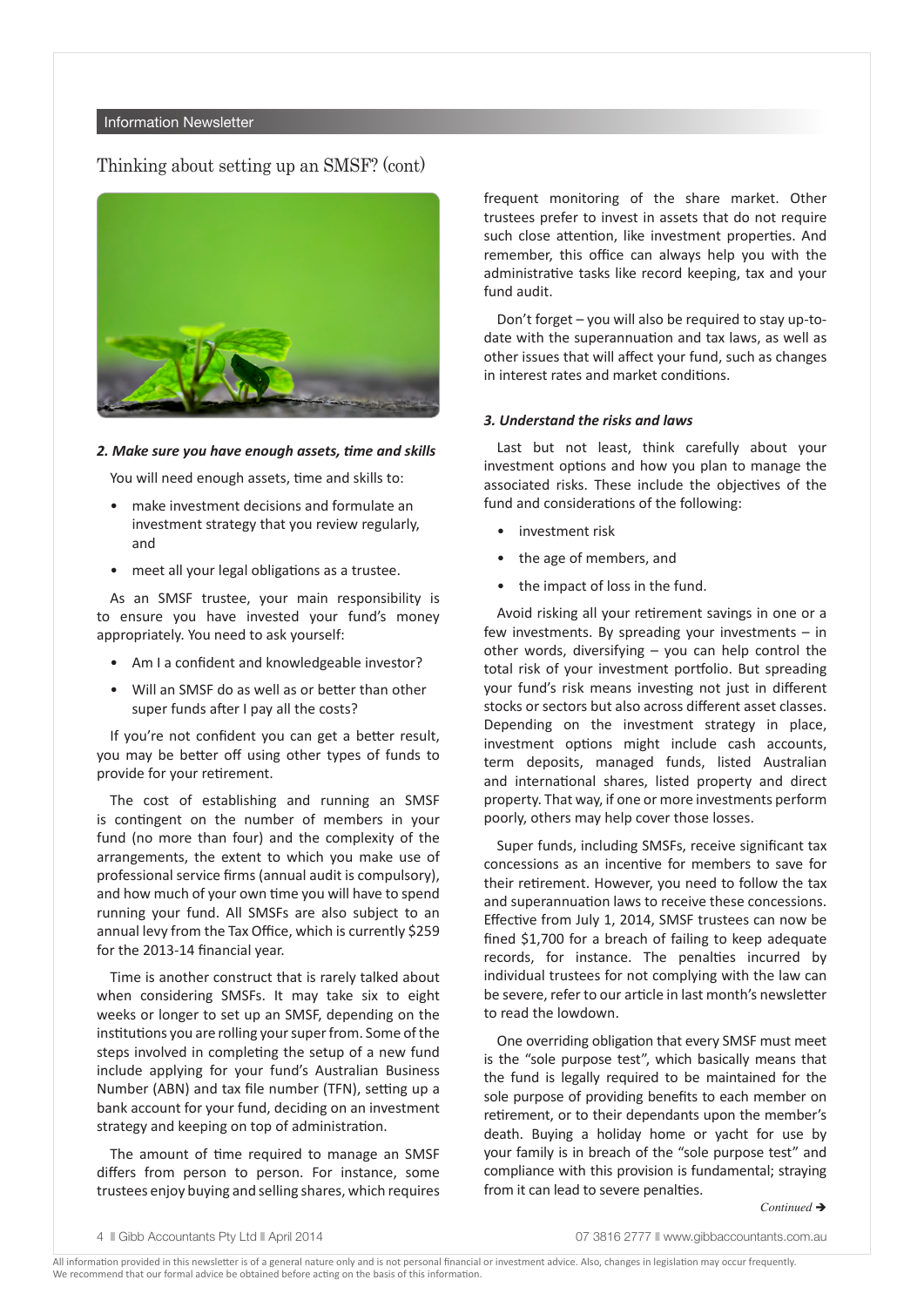### Information Newsletter

### Thinking about setting up an SMSF? (cont)



#### *2. Make sure you have enough assets, time and skills*

You will need enough assets, time and skills to:

- make investment decisions and formulate an investment strategy that you review regularly, and
- meet all your legal obligations as a trustee.

As an SMSF trustee, your main responsibility is to ensure you have invested your fund's money appropriately. You need to ask yourself:

- Am I a confident and knowledgeable investor?
- Will an SMSF do as well as or better than other super funds after I pay all the costs?

If you're not confident you can get a better result, you may be better off using other types of funds to provide for your retirement.

The cost of establishing and running an SMSF is contingent on the number of members in your fund (no more than four) and the complexity of the arrangements, the extent to which you make use of professional service firms (annual audit is compulsory), and how much of your own time you will have to spend running your fund. All SMSFs are also subject to an annual levy from the Tax Office, which is currently \$259 for the 2013-14 financial year.

Time is another construct that is rarely talked about when considering SMSFs. It may take six to eight weeks or longer to set up an SMSF, depending on the institutions you are rolling your super from. Some of the steps involved in completing the setup of a new fund include applying for your fund's Australian Business Number (ABN) and tax file number (TFN), setting up a bank account for your fund, deciding on an investment strategy and keeping on top of administration.

The amount of time required to manage an SMSF differs from person to person. For instance, some trustees enjoy buying and selling shares, which requires frequent monitoring of the share market. Other trustees prefer to invest in assets that do not require such close attention, like investment properties. And remember, this office can always help you with the administrative tasks like record keeping, tax and your fund audit.

Don't forget – you will also be required to stay up-todate with the superannuation and tax laws, as well as other issues that will affect your fund, such as changes in interest rates and market conditions.

### *3. Understand the risks and laws*

Last but not least, think carefully about your investment options and how you plan to manage the associated risks. These include the objectives of the fund and considerations of the following:

- investment risk
- the age of members, and
- the impact of loss in the fund.

Avoid risking all your retirement savings in one or a few investments. By spreading your investments – in other words, diversifying – you can help control the total risk of your investment portfolio. But spreading your fund's risk means investing not just in different stocks or sectors but also across different asset classes. Depending on the investment strategy in place, investment options might include cash accounts, term deposits, managed funds, listed Australian and international shares, listed property and direct property. That way, if one or more investments perform poorly, others may help cover those losses.

Super funds, including SMSFs, receive significant tax concessions as an incentive for members to save for their retirement. However, you need to follow the tax and superannuation laws to receive these concessions. Effective from July 1, 2014, SMSF trustees can now be fined \$1,700 for a breach of failing to keep adequate records, for instance. The penalties incurred by individual trustees for not complying with the law can be severe, refer to our article in last month's newsletter to read the lowdown.

One overriding obligation that every SMSF must meet is the "sole purpose test", which basically means that the fund is legally required to be maintained for the sole purpose of providing benefits to each member on retirement, or to their dependants upon the member's death. Buying a holiday home or yacht for use by your family is in breach of the "sole purpose test" and compliance with this provision is fundamental; straying from it can lead to severe penalties.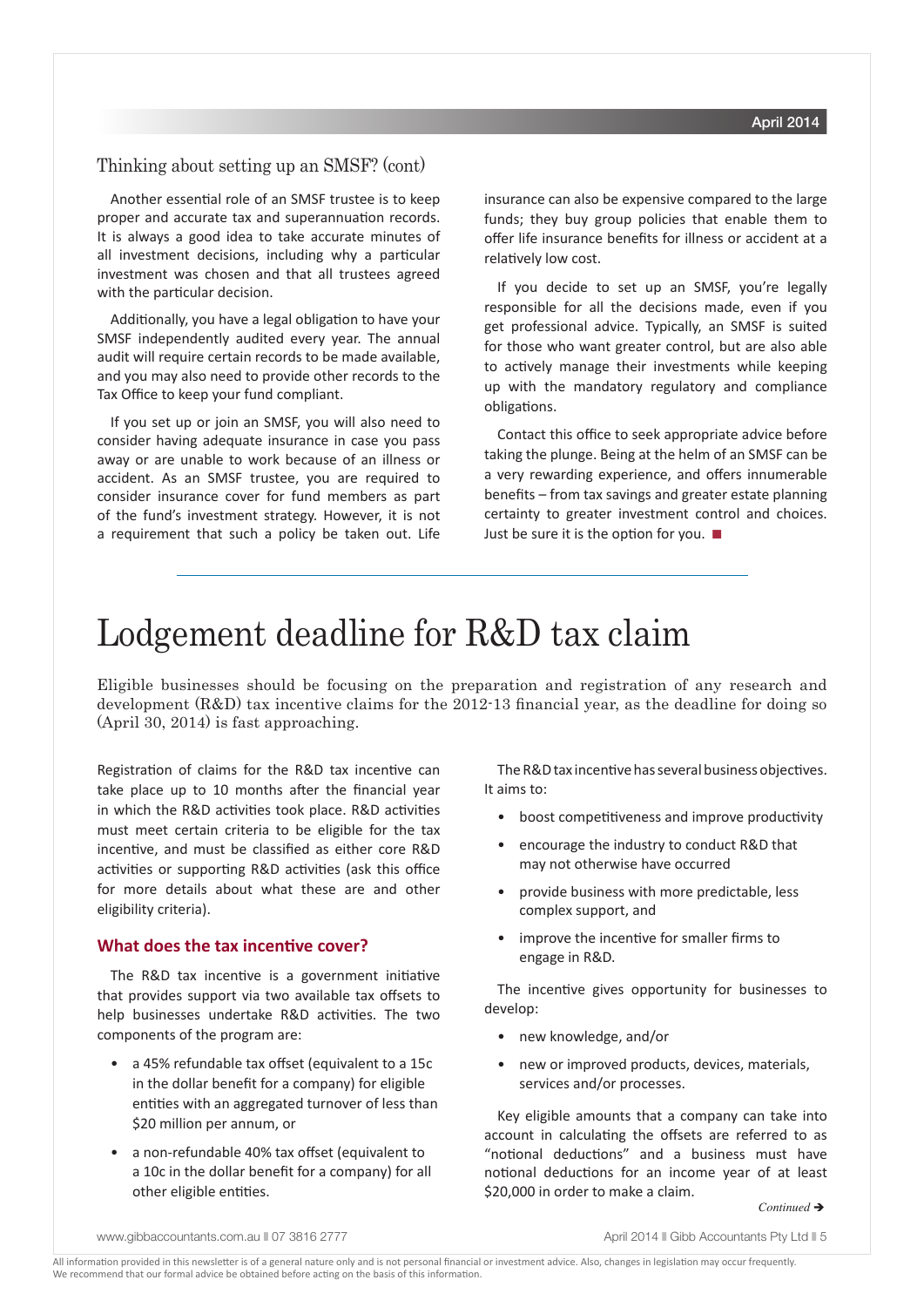### Thinking about setting up an SMSF? (cont)

Another essential role of an SMSF trustee is to keep proper and accurate tax and superannuation records. It is always a good idea to take accurate minutes of all investment decisions, including why a particular investment was chosen and that all trustees agreed with the particular decision.

Additionally, you have a legal obligation to have your SMSF independently audited every year. The annual audit will require certain records to be made available, and you may also need to provide other records to the Tax Office to keep your fund compliant.

If you set up or join an SMSF, you will also need to consider having adequate insurance in case you pass away or are unable to work because of an illness or accident. As an SMSF trustee, you are required to consider insurance cover for fund members as part of the fund's investment strategy. However, it is not a requirement that such a policy be taken out. Life insurance can also be expensive compared to the large funds; they buy group policies that enable them to offer life insurance benefits for illness or accident at a relatively low cost.

If you decide to set up an SMSF, you're legally responsible for all the decisions made, even if you get professional advice. Typically, an SMSF is suited for those who want greater control, but are also able to actively manage their investments while keeping up with the mandatory regulatory and compliance obligations.

Contact this office to seek appropriate advice before taking the plunge. Being at the helm of an SMSF can be a very rewarding experience, and offers innumerable benefits – from tax savings and greater estate planning certainty to greater investment control and choices. Just be sure it is the option for you.  $\blacksquare$ 

# Lodgement deadline for R&D tax claim

Eligible businesses should be focusing on the preparation and registration of any research and development (R&D) tax incentive claims for the 2012-13 financial year, as the deadline for doing so (April 30, 2014) is fast approaching.

Registration of claims for the R&D tax incentive can take place up to 10 months after the financial year in which the R&D activities took place. R&D activities must meet certain criteria to be eligible for the tax incentive, and must be classified as either core R&D activities or supporting R&D activities (ask this office for more details about what these are and other eligibility criteria).

### **What does the tax incentive cover?**

The R&D tax incentive is a government initiative that provides support via two available tax offsets to help businesses undertake R&D activities. The two components of the program are:

- a 45% refundable tax offset (equivalent to a 15c in the dollar benefit for a company) for eligible entities with an aggregated turnover of less than \$20 million per annum, or
- a non-refundable 40% tax offset (equivalent to a 10c in the dollar benefit for a company) for all other eligible entities.

The R&D tax incentive has several business objectives. It aims to:

- boost competitiveness and improve productivity
- encourage the industry to conduct R&D that may not otherwise have occurred
- provide business with more predictable, less complex support, and
- improve the incentive for smaller firms to engage in R&D.

The incentive gives opportunity for businesses to develop:

- new knowledge, and/or
- new or improved products, devices, materials, services and/or processes.

Key eligible amounts that a company can take into account in calculating the offsets are referred to as "notional deductions" and a business must have notional deductions for an income year of at least \$20,000 in order to make a claim.

www.gibbaccountants.com.au || 07 3816 2777 April 2014 || Gibb Accountants Pty Ltd || 5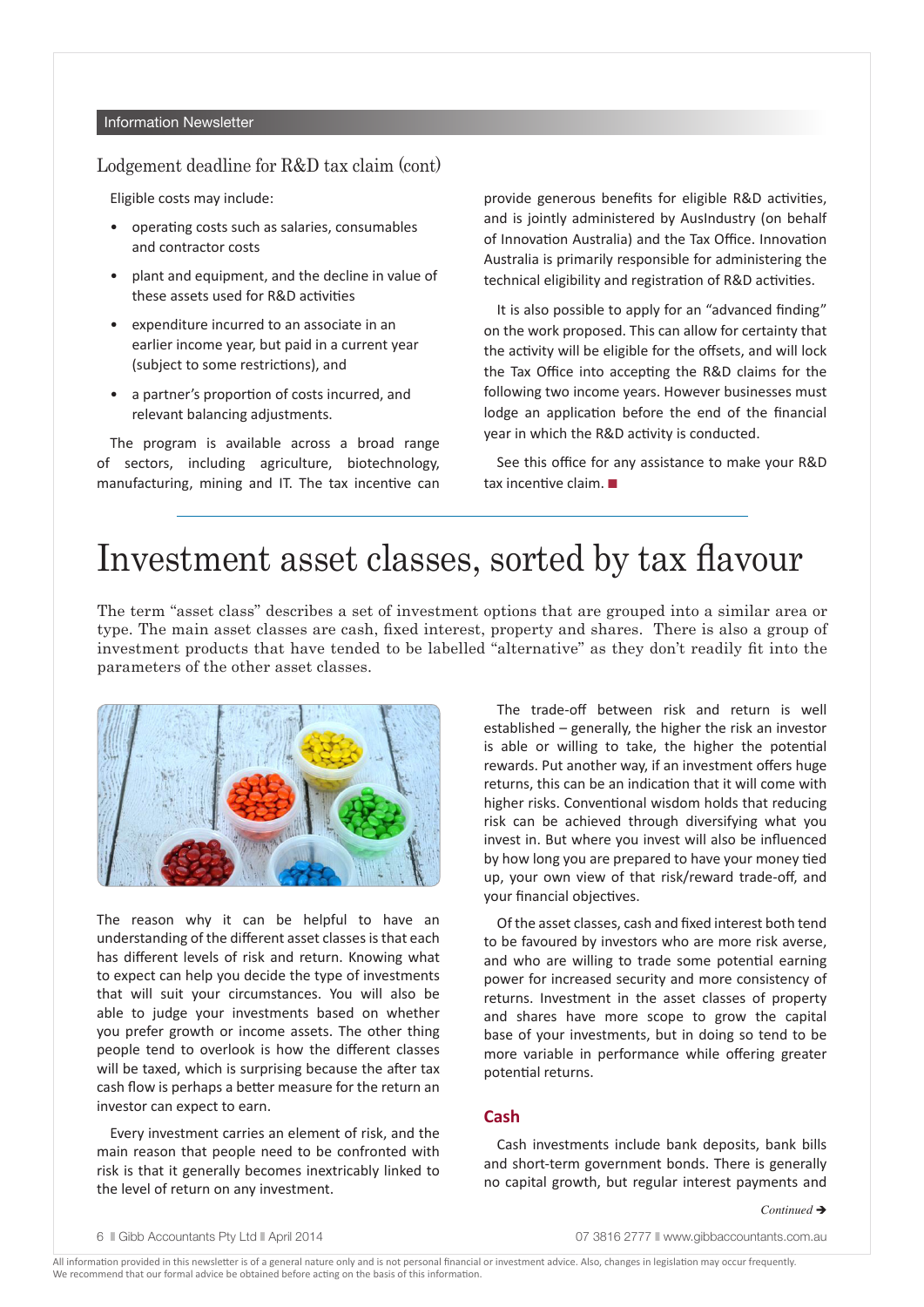### Information Newsletter

### Lodgement deadline for R&D tax claim (cont)

Eligible costs may include:

- operating costs such as salaries, consumables and contractor costs
- plant and equipment, and the decline in value of these assets used for R&D activities
- expenditure incurred to an associate in an earlier income year, but paid in a current year (subject to some restrictions), and
- a partner's proportion of costs incurred, and relevant balancing adjustments.

The program is available across a broad range of sectors, including agriculture, biotechnology, manufacturing, mining and IT. The tax incentive can provide generous benefits for eligible R&D activities, and is jointly administered by AusIndustry (on behalf of Innovation Australia) and the Tax Office. Innovation Australia is primarily responsible for administering the technical eligibility and registration of R&D activities.

It is also possible to apply for an "advanced finding" on the work proposed. This can allow for certainty that the activity will be eligible for the offsets, and will lock the Tax Office into accepting the R&D claims for the following two income years. However businesses must lodge an application before the end of the financial year in which the R&D activity is conducted.

See this office for any assistance to make your R&D tax incentive claim.  $\blacksquare$ 

### Investment asset classes, sorted by tax flavour

The term "asset class" describes a set of investment options that are grouped into a similar area or type. The main asset classes are cash, fixed interest, property and shares. There is also a group of investment products that have tended to be labelled "alternative" as they don't readily fit into the parameters of the other asset classes.



The reason why it can be helpful to have an understanding of the different asset classes is that each has different levels of risk and return. Knowing what to expect can help you decide the type of investments that will suit your circumstances. You will also be able to judge your investments based on whether you prefer growth or income assets. The other thing people tend to overlook is how the different classes will be taxed, which is surprising because the after tax cash flow is perhaps a better measure for the return an investor can expect to earn.

Every investment carries an element of risk, and the main reason that people need to be confronted with risk is that it generally becomes inextricably linked to the level of return on any investment.

The trade-off between risk and return is well established – generally, the higher the risk an investor is able or willing to take, the higher the potential rewards. Put another way, if an investment offers huge returns, this can be an indication that it will come with higher risks. Conventional wisdom holds that reducing risk can be achieved through diversifying what you invest in. But where you invest will also be influenced by how long you are prepared to have your money tied up, your own view of that risk/reward trade-off, and your financial objectives.

Of the asset classes, cash and fixed interest both tend to be favoured by investors who are more risk averse, and who are willing to trade some potential earning power for increased security and more consistency of returns. Investment in the asset classes of property and shares have more scope to grow the capital base of your investments, but in doing so tend to be more variable in performance while offering greater potential returns.

### **Cash**

Cash investments include bank deposits, bank bills and short-term government bonds. There is generally no capital growth, but regular interest payments and

6 Cibb Accountants Pty Ltd April 2014 **07 3816 2777** N www.gibbaccountants.com.au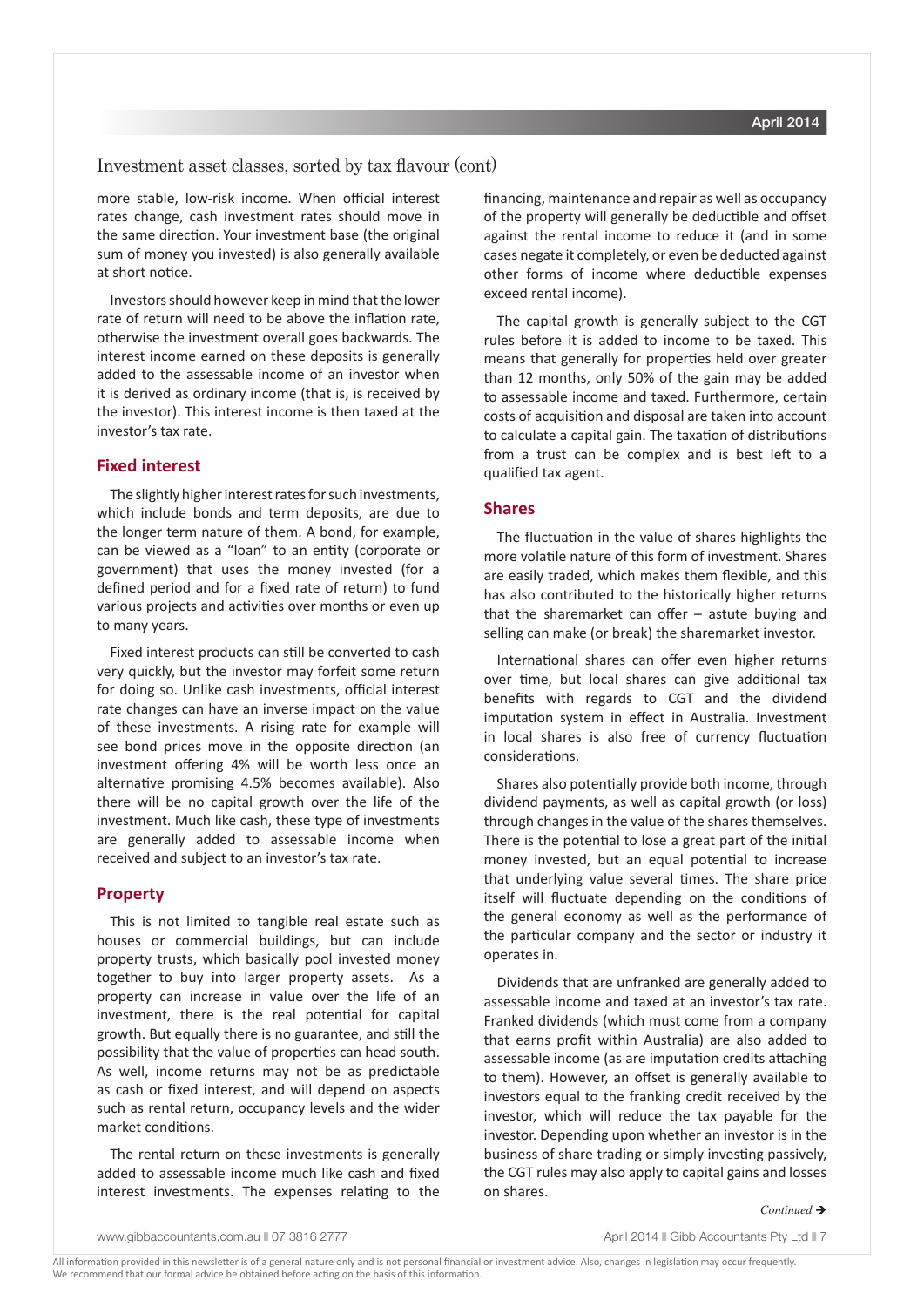### Investment asset classes, sorted by tax flavour (cont)

more stable, low-risk income. When official interest rates change, cash investment rates should move in the same direction. Your investment base (the original sum of money you invested) is also generally available at short notice.

Investors should however keep in mind that the lower rate of return will need to be above the inflation rate, otherwise the investment overall goes backwards. The interest income earned on these deposits is generally added to the assessable income of an investor when it is derived as ordinary income (that is, is received by the investor). This interest income is then taxed at the investor's tax rate.

### **Fixed interest**

The slightly higher interest rates for such investments, which include bonds and term deposits, are due to the longer term nature of them. A bond, for example, can be viewed as a "loan" to an entity (corporate or government) that uses the money invested (for a defined period and for a fixed rate of return) to fund various projects and activities over months or even up to many years.

Fixed interest products can still be converted to cash very quickly, but the investor may forfeit some return for doing so. Unlike cash investments, official interest rate changes can have an inverse impact on the value of these investments. A rising rate for example will see bond prices move in the opposite direction (an investment offering 4% will be worth less once an alternative promising 4.5% becomes available). Also there will be no capital growth over the life of the investment. Much like cash, these type of investments are generally added to assessable income when received and subject to an investor's tax rate.

### **Property**

This is not limited to tangible real estate such as houses or commercial buildings, but can include property trusts, which basically pool invested money together to buy into larger property assets. As a property can increase in value over the life of an investment, there is the real potential for capital growth. But equally there is no guarantee, and still the possibility that the value of properties can head south. As well, income returns may not be as predictable as cash or fixed interest, and will depend on aspects such as rental return, occupancy levels and the wider market conditions.

The rental return on these investments is generally added to assessable income much like cash and fixed interest investments. The expenses relating to the financing, maintenance and repair as well as occupancy of the property will generally be deductible and offset against the rental income to reduce it (and in some cases negate it completely, or even be deducted against other forms of income where deductible expenses exceed rental income).

The capital growth is generally subject to the CGT rules before it is added to income to be taxed. This means that generally for properties held over greater than 12 months, only 50% of the gain may be added to assessable income and taxed. Furthermore, certain costs of acquisition and disposal are taken into account to calculate a capital gain. The taxation of distributions from a trust can be complex and is best left to a qualified tax agent.

#### **Shares**

The fluctuation in the value of shares highlights the more volatile nature of this form of investment. Shares are easily traded, which makes them flexible, and this has also contributed to the historically higher returns that the sharemarket can offer – astute buying and selling can make (or break) the sharemarket investor.

International shares can offer even higher returns over time, but local shares can give additional tax benefits with regards to CGT and the dividend imputation system in effect in Australia. Investment in local shares is also free of currency fluctuation considerations.

Shares also potentially provide both income, through dividend payments, as well as capital growth (or loss) through changes in the value of the shares themselves. There is the potential to lose a great part of the initial money invested, but an equal potential to increase that underlying value several times. The share price itself will fluctuate depending on the conditions of the general economy as well as the performance of the particular company and the sector or industry it operates in.

Dividends that are unfranked are generally added to assessable income and taxed at an investor's tax rate. Franked dividends (which must come from a company that earns profit within Australia) are also added to assessable income (as are imputation credits attaching to them). However, an offset is generally available to investors equal to the franking credit received by the investor, which will reduce the tax payable for the investor. Depending upon whether an investor is in the business of share trading or simply investing passively, the CGT rules may also apply to capital gains and losses on shares.

#### *Continued* è